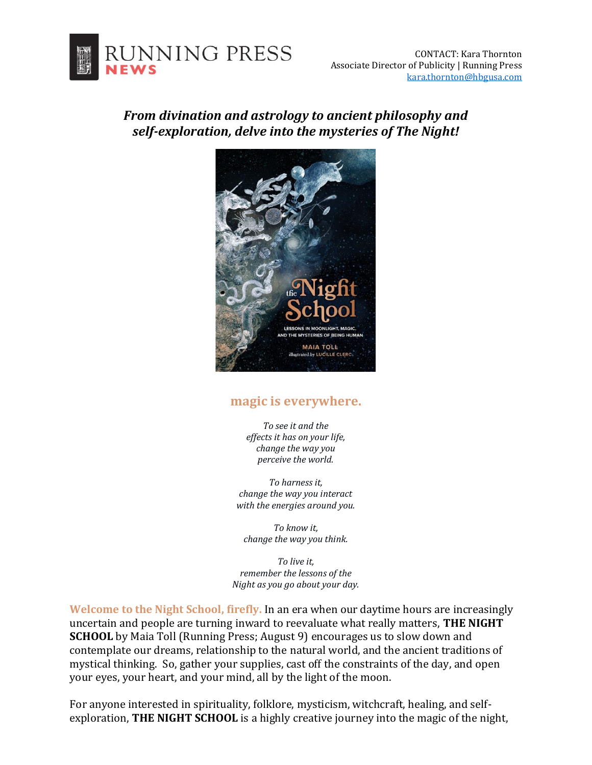

## *From divination and astrology to ancient philosophy and self-exploration, delve into the mysteries of The Night!*



## **magic is everywhere.**

*To see it and the effects it has on your life, change the way you perceive the world.* 

*To harness it, change the way you interact with the energies around you.* 

*To know it, change the way you think.* 

*To live it, remember the lessons of the Night as you go about your day.* 

**Welcome to the Night School, firefly.** In an era when our daytime hours are increasingly uncertain and people are turning inward to reevaluate what really matters, **THE NIGHT SCHOOL** by Maia Toll (Running Press; August 9) encourages us to slow down and contemplate our dreams, relationship to the natural world, and the ancient traditions of mystical thinking. So, gather your supplies, cast off the constraints of the day, and open your eyes, your heart, and your mind, all by the light of the moon.

For anyone interested in spirituality, folklore, mysticism, witchcraft, healing, and selfexploration, **THE NIGHT SCHOOL** is a highly creative journey into the magic of the night,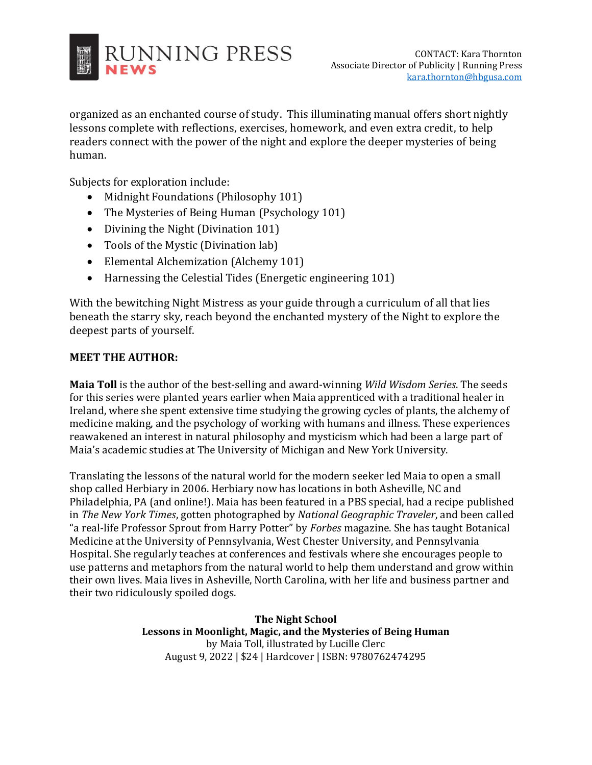

organized as an enchanted course of study. This illuminating manual offers short nightly lessons complete with reflections, exercises, homework, and even extra credit, to help readers connect with the power of the night and explore the deeper mysteries of being human.

Subjects for exploration include:

- Midnight Foundations (Philosophy 101)
- The Mysteries of Being Human (Psychology 101)
- Divining the Night (Divination 101)
- Tools of the Mystic (Divination lab)
- Elemental Alchemization (Alchemy 101)
- Harnessing the Celestial Tides (Energetic engineering 101)

With the bewitching Night Mistress as your guide through a curriculum of all that lies beneath the starry sky, reach beyond the enchanted mystery of the Night to explore the deepest parts of yourself.

## **MEET THE AUTHOR:**

**Maia Toll** is the author of the best-selling and award-winning *Wild Wisdom Series*. The seeds for this series were planted years earlier when Maia apprenticed with a traditional healer in Ireland, where she spent extensive time studying the growing cycles of plants, the alchemy of medicine making, and the psychology of working with humans and illness. These experiences reawakened an interest in natural philosophy and mysticism which had been a large part of Maia's academic studies at The University of Michigan and New York University.

Translating the lessons of the natural world for the modern seeker led Maia to open a small shop called Herbiary in 2006. Herbiary now has locations in both Asheville, NC and Philadelphia, PA (and online!). Maia has been featured in a PBS special, had a recipe published in *The New York Times*, gotten photographed by *National Geographic Traveler*, and been called "a real-life Professor Sprout from Harry Potter" by *Forbes* magazine. She has taught Botanical Medicine at the University of Pennsylvania, West Chester University, and Pennsylvania Hospital. She regularly teaches at conferences and festivals where she encourages people to use patterns and metaphors from the natural world to help them understand and grow within their own lives. Maia lives in Asheville, North Carolina, with her life and business partner and their two ridiculously spoiled dogs.

> **The Night School Lessons in Moonlight, Magic, and the Mysteries of Being Human**  by Maia Toll, illustrated by Lucille Clerc August 9, 2022 | \$24 | Hardcover | ISBN: 9780762474295